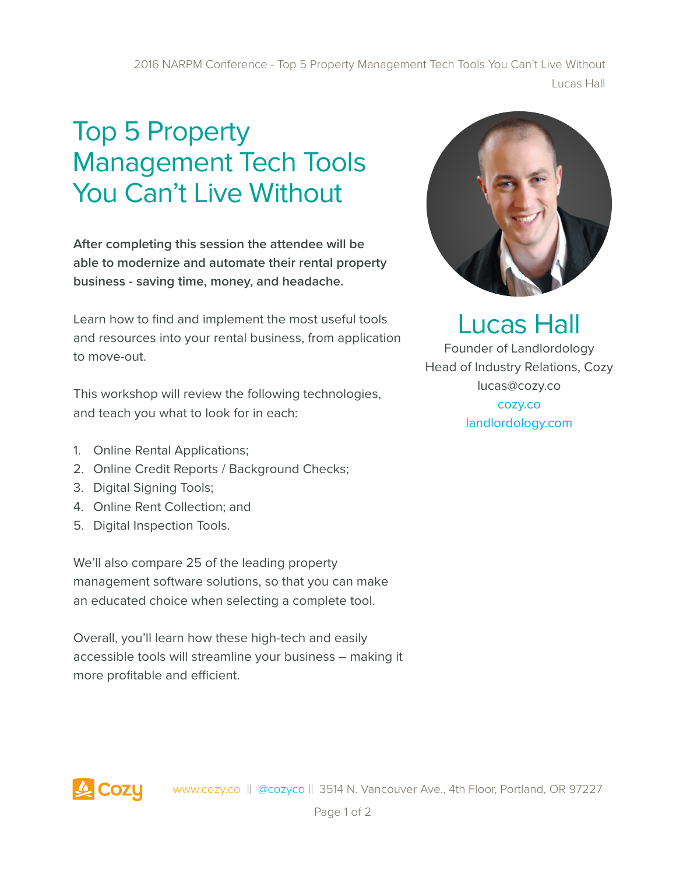2016 NARPM Conference - Top 5 Property Management Tech Tools You Can't Live Without Lucas Hall

## Top 5 Property Management Tech Tools You Can't Live Without

**After completing this session the attendee will be able to modernize and automate their rental property business - saving time, money, and headache.** 

Learn how to find and implement the most useful tools and resources into your rental business, from application to move-out.

This workshop will review the following technologies, and teach you what to look for in each:

- 1. Online Rental Applications;
- 2. Online Credit Reports / Background Checks;
- 3. Digital Signing Tools;
- 4. Online Rent Collection; and
- 5. Digital Inspection Tools.

We'll also compare 25 of the leading property management software solutions, so that you can make an educated choice when selecting a complete tool.

Overall, you'll learn how these high-tech and easily accessible tools will streamline your business – making it more profitable and efficient.



## Lucas Hall

Founder of Landlordology Head of Industry Relations, Cozy lucas@cozy.co cozy.co landlordology.com